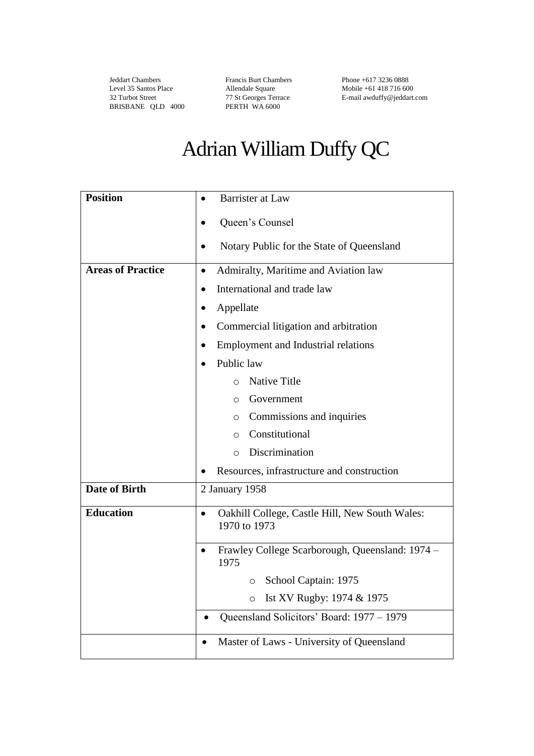Jeddart Chambers Level 35 Santos Place 32 Turbot Street BRISBANE QLD 4000

Francis Burt Chambers Allendale Square 77 St Georges Terrace PERTH WA 6000

Phone +617 3236 0888 Mobile +61 418 716 600 E-mail awduffy@jeddart.com

## Adrian William Duffy QC

| <b>Position</b>          | <b>Barrister at Law</b><br>$\bullet$                                        |  |  |
|--------------------------|-----------------------------------------------------------------------------|--|--|
|                          | Queen's Counsel<br>$\bullet$                                                |  |  |
|                          | Notary Public for the State of Queensland                                   |  |  |
| <b>Areas of Practice</b> | Admiralty, Maritime and Aviation law<br>$\bullet$                           |  |  |
|                          | International and trade law<br>$\bullet$                                    |  |  |
|                          | Appellate<br>٠                                                              |  |  |
|                          | Commercial litigation and arbitration<br>$\bullet$                          |  |  |
|                          | <b>Employment and Industrial relations</b><br>$\bullet$                     |  |  |
|                          | Public law                                                                  |  |  |
|                          | <b>Native Title</b><br>$\circ$                                              |  |  |
|                          | Government<br>$\circ$                                                       |  |  |
|                          | Commissions and inquiries<br>$\circ$                                        |  |  |
|                          | Constitutional<br>$\circ$                                                   |  |  |
|                          | Discrimination<br>$\circ$                                                   |  |  |
|                          | Resources, infrastructure and construction                                  |  |  |
| <b>Date of Birth</b>     | 2 January 1958                                                              |  |  |
| <b>Education</b>         | Oakhill College, Castle Hill, New South Wales:<br>$\bullet$<br>1970 to 1973 |  |  |
|                          | Frawley College Scarborough, Queensland: 1974 -<br>$\bullet$<br>1975        |  |  |
|                          | School Captain: 1975<br>$\circ$                                             |  |  |
|                          | Ist XV Rugby: 1974 & 1975<br>$\circ$                                        |  |  |
|                          | Queensland Solicitors' Board: 1977 – 1979                                   |  |  |
|                          | Master of Laws - University of Queensland<br>$\bullet$                      |  |  |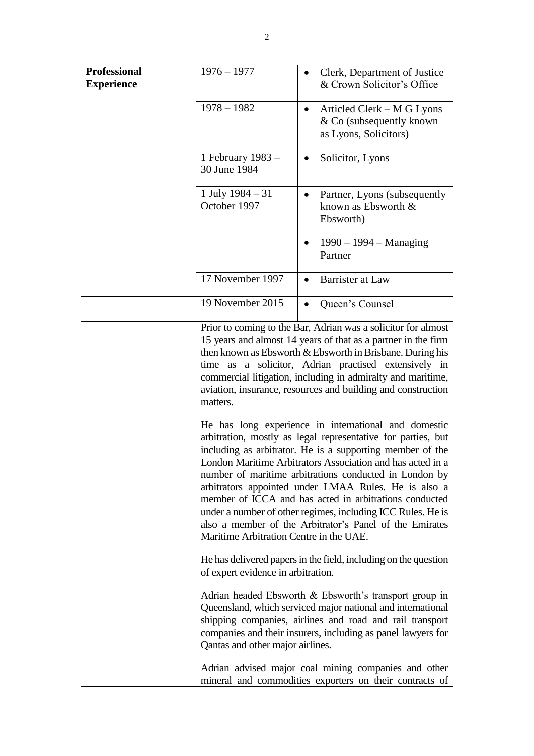| <b>Professional</b><br><b>Experience</b> | $1976 - 1977$                           | Clerk, Department of Justice<br>& Crown Solicitor's Office                                                                                                                                                                                                                                                                                                                                                                                                                                                                                            |
|------------------------------------------|-----------------------------------------|-------------------------------------------------------------------------------------------------------------------------------------------------------------------------------------------------------------------------------------------------------------------------------------------------------------------------------------------------------------------------------------------------------------------------------------------------------------------------------------------------------------------------------------------------------|
|                                          | $1978 - 1982$                           | Articled Clerk – M G Lyons<br>٠<br>& Co (subsequently known)<br>as Lyons, Solicitors)                                                                                                                                                                                                                                                                                                                                                                                                                                                                 |
|                                          | 1 February 1983 –<br>30 June 1984       | Solicitor, Lyons                                                                                                                                                                                                                                                                                                                                                                                                                                                                                                                                      |
|                                          | 1 July $1984 - 31$<br>October 1997      | Partner, Lyons (subsequently)<br>$\bullet$<br>known as Ebsworth &<br>Ebsworth)                                                                                                                                                                                                                                                                                                                                                                                                                                                                        |
|                                          |                                         | $1990 - 1994 -$ Managing<br>Partner                                                                                                                                                                                                                                                                                                                                                                                                                                                                                                                   |
|                                          | 17 November 1997                        | <b>Barrister at Law</b>                                                                                                                                                                                                                                                                                                                                                                                                                                                                                                                               |
|                                          | 19 November 2015                        | Queen's Counsel<br>$\bullet$                                                                                                                                                                                                                                                                                                                                                                                                                                                                                                                          |
|                                          | matters.                                | Prior to coming to the Bar, Adrian was a solicitor for almost<br>15 years and almost 14 years of that as a partner in the firm<br>then known as Ebsworth & Ebsworth in Brisbane. During his<br>time as a solicitor, Adrian practised extensively in<br>commercial litigation, including in admiralty and maritime,<br>aviation, insurance, resources and building and construction                                                                                                                                                                    |
|                                          | Maritime Arbitration Centre in the UAE. | He has long experience in international and domestic<br>arbitration, mostly as legal representative for parties, but<br>including as arbitrator. He is a supporting member of the<br>London Maritime Arbitrators Association and has acted in a<br>number of maritime arbitrations conducted in London by<br>arbitrators appointed under LMAA Rules. He is also a<br>member of ICCA and has acted in arbitrations conducted<br>under a number of other regimes, including ICC Rules. He is<br>also a member of the Arbitrator's Panel of the Emirates |
|                                          | of expert evidence in arbitration.      | He has delivered papers in the field, including on the question                                                                                                                                                                                                                                                                                                                                                                                                                                                                                       |
|                                          | Qantas and other major airlines.        | Adrian headed Ebsworth $\&$ Ebsworth's transport group in<br>Queensland, which serviced major national and international<br>shipping companies, airlines and road and rail transport<br>companies and their insurers, including as panel lawyers for                                                                                                                                                                                                                                                                                                  |
|                                          |                                         | Adrian advised major coal mining companies and other<br>mineral and commodities exporters on their contracts of                                                                                                                                                                                                                                                                                                                                                                                                                                       |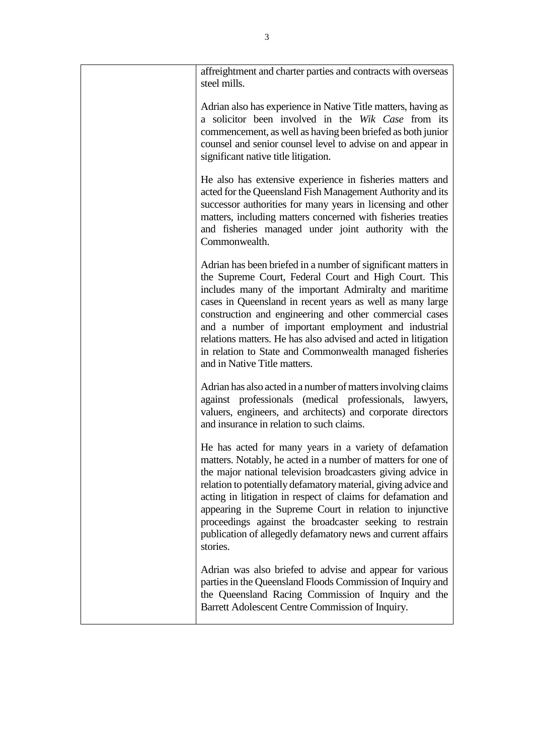| affreightment and charter parties and contracts with overseas<br>steel mills.                                                                                                                                                                                                                                                                                                                                                                                                                                               |
|-----------------------------------------------------------------------------------------------------------------------------------------------------------------------------------------------------------------------------------------------------------------------------------------------------------------------------------------------------------------------------------------------------------------------------------------------------------------------------------------------------------------------------|
| Adrian also has experience in Native Title matters, having as<br>a solicitor been involved in the Wik Case from its<br>commencement, as well as having been briefed as both junior<br>counsel and senior counsel level to advise on and appear in<br>significant native title litigation.                                                                                                                                                                                                                                   |
| He also has extensive experience in fisheries matters and<br>acted for the Queensland Fish Management Authority and its<br>successor authorities for many years in licensing and other<br>matters, including matters concerned with fisheries treaties<br>and fisheries managed under joint authority with the<br>Commonwealth.                                                                                                                                                                                             |
| Adrian has been briefed in a number of significant matters in<br>the Supreme Court, Federal Court and High Court. This<br>includes many of the important Admiralty and maritime<br>cases in Queensland in recent years as well as many large<br>construction and engineering and other commercial cases<br>and a number of important employment and industrial<br>relations matters. He has also advised and acted in litigation<br>in relation to State and Commonwealth managed fisheries<br>and in Native Title matters. |
| Adrian has also acted in a number of matters involving claims<br>against professionals (medical professionals, lawyers,<br>valuers, engineers, and architects) and corporate directors<br>and insurance in relation to such claims.                                                                                                                                                                                                                                                                                         |
| He has acted for many years in a variety of defamation<br>matters. Notably, he acted in a number of matters for one of<br>the major national television broadcasters giving advice in<br>relation to potentially defamatory material, giving advice and<br>acting in litigation in respect of claims for defamation and<br>appearing in the Supreme Court in relation to injunctive<br>proceedings against the broadcaster seeking to restrain<br>publication of allegedly defamatory news and current affairs<br>stories.  |
| Adrian was also briefed to advise and appear for various<br>parties in the Queensland Floods Commission of Inquiry and<br>the Queensland Racing Commission of Inquiry and the<br>Barrett Adolescent Centre Commission of Inquiry.                                                                                                                                                                                                                                                                                           |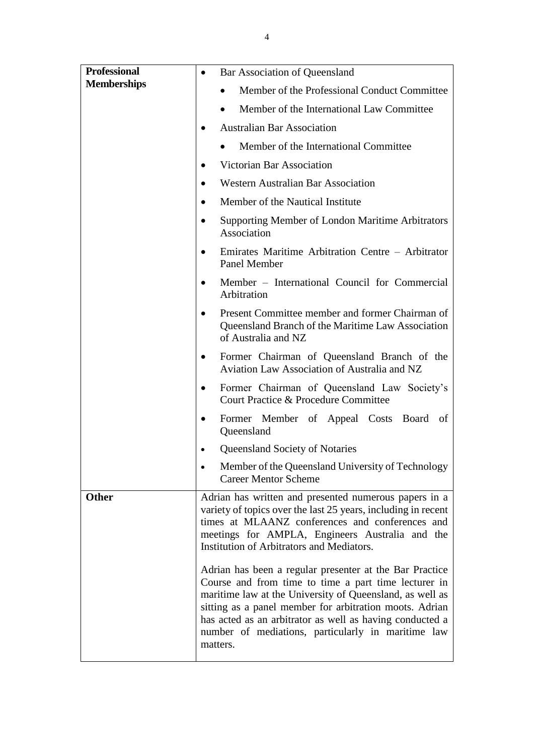| <b>Professional</b><br><b>Memberships</b> | Bar Association of Queensland<br>$\bullet$                                                                                                                                                                                                                                                                                                                           |  |
|-------------------------------------------|----------------------------------------------------------------------------------------------------------------------------------------------------------------------------------------------------------------------------------------------------------------------------------------------------------------------------------------------------------------------|--|
|                                           | Member of the Professional Conduct Committee                                                                                                                                                                                                                                                                                                                         |  |
|                                           | Member of the International Law Committee                                                                                                                                                                                                                                                                                                                            |  |
|                                           | <b>Australian Bar Association</b>                                                                                                                                                                                                                                                                                                                                    |  |
|                                           | Member of the International Committee                                                                                                                                                                                                                                                                                                                                |  |
|                                           | Victorian Bar Association<br>$\bullet$                                                                                                                                                                                                                                                                                                                               |  |
|                                           | <b>Western Australian Bar Association</b>                                                                                                                                                                                                                                                                                                                            |  |
|                                           | Member of the Nautical Institute                                                                                                                                                                                                                                                                                                                                     |  |
|                                           | <b>Supporting Member of London Maritime Arbitrators</b><br>Association                                                                                                                                                                                                                                                                                               |  |
|                                           | Emirates Maritime Arbitration Centre - Arbitrator<br>Panel Member                                                                                                                                                                                                                                                                                                    |  |
|                                           | Member – International Council for Commercial<br>Arbitration                                                                                                                                                                                                                                                                                                         |  |
|                                           | Present Committee member and former Chairman of<br>Queensland Branch of the Maritime Law Association<br>of Australia and NZ                                                                                                                                                                                                                                          |  |
|                                           | Former Chairman of Queensland Branch of the<br>٠<br>Aviation Law Association of Australia and NZ                                                                                                                                                                                                                                                                     |  |
|                                           | Former Chairman of Queensland Law Society's<br>$\bullet$<br>Court Practice & Procedure Committee                                                                                                                                                                                                                                                                     |  |
|                                           | Former Member of Appeal Costs Board<br>of<br>Queensland                                                                                                                                                                                                                                                                                                              |  |
|                                           | Queensland Society of Notaries                                                                                                                                                                                                                                                                                                                                       |  |
|                                           | Member of the Queensland University of Technology<br><b>Career Mentor Scheme</b>                                                                                                                                                                                                                                                                                     |  |
| <b>Other</b>                              | Adrian has written and presented numerous papers in a<br>variety of topics over the last 25 years, including in recent<br>times at MLAANZ conferences and conferences and<br>meetings for AMPLA, Engineers Australia and the<br>Institution of Arbitrators and Mediators.                                                                                            |  |
|                                           | Adrian has been a regular presenter at the Bar Practice<br>Course and from time to time a part time lecturer in<br>maritime law at the University of Queensland, as well as<br>sitting as a panel member for arbitration moots. Adrian<br>has acted as an arbitrator as well as having conducted a<br>number of mediations, particularly in maritime law<br>matters. |  |